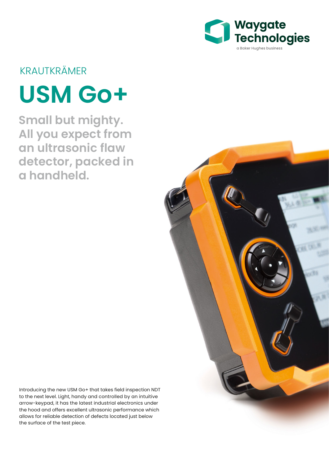

# KRAUTKRÄMER

# **USM Go+**

**Small but mighty. All you expect from an ultrasonic flaw detector, packed in a handheld.**

Introducing the new USM Go+ that takes field inspection NDT to the next level. Light, handy and controlled by an intuitive arrow-keypad, it has the latest industrial electronics under the hood and offers excellent ultrasonic performance which allows for reliable detection of defects located just below the surface of the test piece.

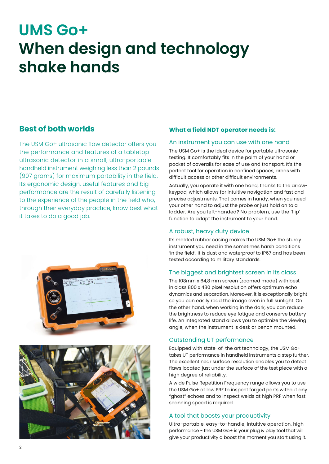# **UMS Go+ When design and technology shake hands**

### **Best of both worlds**

The USM Go+ ultrasonic flaw detector offers you the performance and features of a tabletop ultrasonic detector in a small, ultra-portable handheld instrument weighing less than 2 pounds (907 grams) for maximum portability in the field. Its ergonomic design, useful features and big performance are the result of carefully listening to the experience of the people in the field who, through their everyday practice, know best what it takes to do a good job.





#### **What a field NDT operator needs is:**

#### An instrument you can use with one hand

The USM Go+ is the ideal device for portable ultrasonic testing. It comfortably fits in the palm of your hand or pocket of coveralls for ease of use and transport. It's the perfect tool for operation in confined spaces, areas with difficult access or other difficult environments.

Actually, you operate it with one hand, thanks to the arrowkeypad, which allows for intuitive navigation and fast and precise adjustments. That comes in handy, when you need your other hand to adjust the probe or just hold on to a ladder. Are you left-handed? No problem, use the 'flip' function to adapt the instrument to your hand.

#### A robust, heavy duty device

Its molded rubber casing makes the USM Go+ the sturdy instrument you need in the sometimes harsh conditions 'in the field'. It is dust and waterproof to IP67 and has been tested according to military standards.

#### The biggest and brightest screen in its class

The 108mm x 64,8 mm screen (zoomed mode) with best in class 800 x 480 pixel resolution offers optimum echo dynamics and separation. Moreover, it is exceptionally bright so you can easily read the image even in full sunlight. On the other hand, when working in the dark, you can reduce the brightness to reduce eye fatigue and conserve battery life. An integrated stand allows you to optimize the viewing angle, when the instrument is desk or bench mounted.

#### Outstanding UT performance

Equipped with state-of-the art technology, the USM Go+ takes UT performance in handheld instruments a step further. The excellent near surface resolution enables you to detect flaws located just under the surface of the test piece with a high degree of reliability.

A wide Pulse Repetition Frequency range allows you to use the USM Go+ at low PRF to inspect forged parts without any "ghost" echoes and to inspect welds at high PRF when fast scanning speed is required.

#### A tool that boosts your productivity

Ultra-portable, easy-to-handle, intuitive operation, high performance - the USM Go+ is your plug & play tool that will give your productivity a boost the moment you start using it.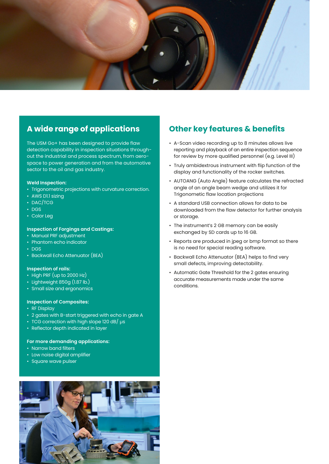

# **A wide range of applications**

The USM Go+ has been designed to provide flaw detection capability in inspection situations throughout the industrial and process spectrum, from aerospace to power generation and from the automotive sector to the oil and gas industry.

#### **Weld Inspection:**

- Trigonometric projections with curvature correction.
- AWS D1.1 sizing
- DAC/TCG
- DGS
- Color Leg

#### **Inspection of Forgings and Castings:**

- Manual PRF adjustment
- Phantom echo indicator
- DGS
- Backwall Echo Attenuator (BEA)

#### **Inspection of rails:**

- High PRF (up to 2000 Hz)
- Lightweight 850g (1.87 lb.)
- Small size and ergonomics

#### **Inspection of Composites:**

- RF Display
- 2 gates with B-start triggered with echo in gate A
- TCG correction with high slope 120 dB/ µs
- Reflector depth indicated in layer

#### **For more demanding applications:**

- Narrow band filters
- Low noise digital amplifier
- Square wave pulser



## **Other key features & benefits**

- A-Scan video recording up to 8 minutes allows live reporting and playback of an entire inspection sequence for review by more qualified personnel (e.g. Level III)
- Truly ambidextrous instrument with flip function of the display and functionality of the rocker switches.
- AUTOANG (Auto Angle) feature calculates the refracted angle of an angle beam wedge and utilizes it for Trigonometic flaw location projections
- A standard USB connection allows for data to be downloaded from the flaw detector for further analysis or storage.
- The instrument's 2 GB memory can be easily exchanged by SD cards up to 16 GB.
- Reports are produced in jpeg or bmp format so there is no need for special reading software.
- Backwall Echo Attenuator (BEA) helps to find very small defects, improving detectability.
- Automatic Gate Threshold for the 2 gates ensuring accurate measurements made under the same conditions.